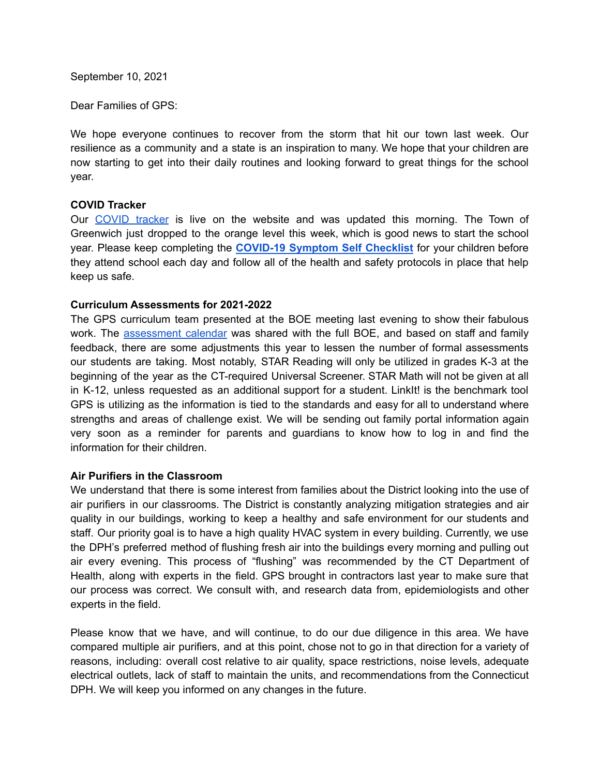September 10, 2021

Dear Families of GPS:

We hope everyone continues to recover from the storm that hit our town last week. Our resilience as a community and a state is an inspiration to many. We hope that your children are now starting to get into their daily routines and looking forward to great things for the school year.

## **COVID Tracker**

Our [COVID](https://www.greenwichschools.org/teaching-learning/student-support-services/health-services/covid-19/covid-19-tracker-2021-2022-school-year) tracker is live on the website and was updated this morning. The Town of Greenwich just dropped to the orange level this week, which is good news to start the school year. Please keep completing the **[COVID-19](https://resources.finalsite.net/images/v1600868987/greenwich/vrdoomnnyw1oq6vnh4vp/GPSCOVIDSelfChecklistENGLISH-2.pdf) Symptom Self Checklist** for your children before they attend school each day and follow all of the health and safety protocols in place that help keep us safe.

#### **Curriculum Assessments for 2021-2022**

The GPS curriculum team presented at the BOE meeting last evening to show their fabulous work. The [assessment](https://www.greenwichschools.org/teaching-learning/assessment) calendar was shared with the full BOE, and based on staff and family feedback, there are some adjustments this year to lessen the number of formal assessments our students are taking. Most notably, STAR Reading will only be utilized in grades K-3 at the beginning of the year as the CT-required Universal Screener. STAR Math will not be given at all in K-12, unless requested as an additional support for a student. LinkIt! is the benchmark tool GPS is utilizing as the information is tied to the standards and easy for all to understand where strengths and areas of challenge exist. We will be sending out family portal information again very soon as a reminder for parents and guardians to know how to log in and find the information for their children.

## **Air Purifiers in the Classroom**

We understand that there is some interest from families about the District looking into the use of air purifiers in our classrooms. The District is constantly analyzing mitigation strategies and air quality in our buildings, working to keep a healthy and safe environment for our students and staff. Our priority goal is to have a high quality HVAC system in every building. Currently, we use the DPH's preferred method of flushing fresh air into the buildings every morning and pulling out air every evening. This process of "flushing" was recommended by the CT Department of Health, along with experts in the field. GPS brought in contractors last year to make sure that our process was correct. We consult with, and research data from, epidemiologists and other experts in the field.

Please know that we have, and will continue, to do our due diligence in this area. We have compared multiple air purifiers, and at this point, chose not to go in that direction for a variety of reasons, including: overall cost relative to air quality, space restrictions, noise levels, adequate electrical outlets, lack of staff to maintain the units, and recommendations from the Connecticut DPH. We will keep you informed on any changes in the future.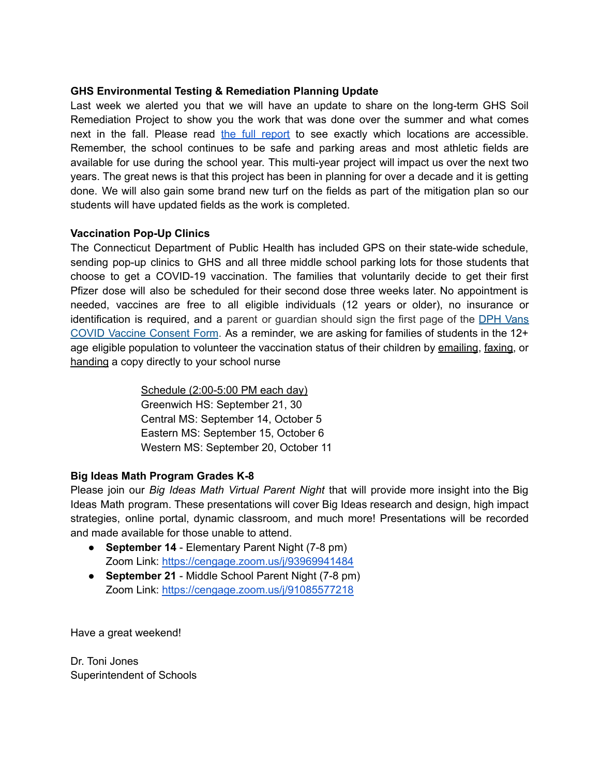## **GHS Environmental Testing & Remediation Planning Update**

Last week we alerted you that we will have an update to share on the long-term GHS Soil Remediation Project to show you the work that was done over the summer and what comes next in the fall. Please read the full [report](https://resources.finalsite.net/images/v1631020969/greenwich/dfqohjsmqgdph6qwqdmm/GHSPublicUpdateSeptember202109-03-21.pdf) to see exactly which locations are accessible. Remember, the school continues to be safe and parking areas and most athletic fields are available for use during the school year. This multi-year project will impact us over the next two years. The great news is that this project has been in planning for over a decade and it is getting done. We will also gain some brand new turf on the fields as part of the mitigation plan so our students will have updated fields as the work is completed.

## **Vaccination Pop-Up Clinics**

The Connecticut Department of Public Health has included GPS on their state-wide schedule, sending pop-up clinics to GHS and all three middle school parking lots for those students that choose to get a COVID-19 vaccination. The families that voluntarily decide to get their first Pfizer dose will also be scheduled for their second dose three weeks later. No appointment is needed, vaccines are free to all eligible individuals (12 years or older), no insurance or identification is required, and a parent or guardian should sign the first page of the DPH [Vans](https://portal.ct.gov/vaccine-portal/-/media/Coronavirus/DPH-Vans/COVID-vaccine-intake-form-ALL.docx) COVID Vaccine [Consent](https://portal.ct.gov/vaccine-portal/-/media/Coronavirus/DPH-Vans/COVID-vaccine-intake-form-ALL.docx) Form. As a reminder, we are asking for families of students in the 12+ age eligible population to volunteer the vaccination status of their children by emailing, faxing, or handing a copy directly to your school nurse

> Schedule (2:00-5:00 PM each day) Greenwich HS: September 21, 30 Central MS: September 14, October 5 Eastern MS: September 15, October 6 Western MS: September 20, October 11

## **Big Ideas Math Program Grades K-8**

Please join our *Big Ideas Math Virtual Parent Night* that will provide more insight into the Big Ideas Math program. These presentations will cover Big Ideas research and design, high impact strategies, online portal, dynamic classroom, and much more! Presentations will be recorded and made available for those unable to attend.

- **September 14** Elementary Parent Night (7-8 pm) Zoom Link: <https://cengage.zoom.us/j/93969941484>
- **September 21** Middle School Parent Night (7-8 pm) Zoom Link: <https://cengage.zoom.us/j/91085577218>

Have a great weekend!

Dr. Toni Jones Superintendent of Schools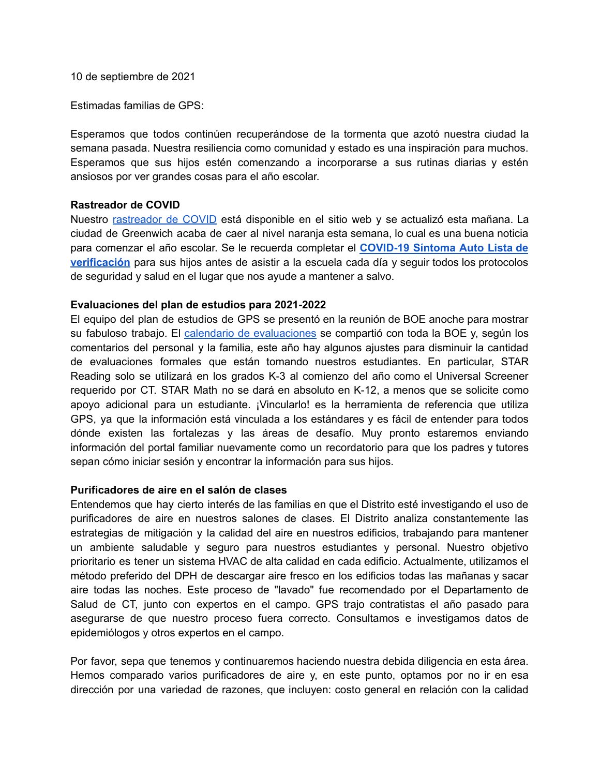10 de septiembre de 2021

Estimadas familias de GPS:

Esperamos que todos continúen recuperándose de la tormenta que azotó nuestra ciudad la semana pasada. Nuestra resiliencia como comunidad y estado es una inspiración para muchos. Esperamos que sus hijos estén comenzando a incorporarse a sus rutinas diarias y estén ansiosos por ver grandes cosas para el año escolar.

#### **Rastreador de COVID**

Nuestro [rastreador](https://www.greenwichschools.org/teaching-learning/student-support-services/health-services/covid-19/covid-19-tracker-2021-2022-school-year) de COVID está disponible en el sitio web y se actualizó esta mañana. La ciudad de Greenwich acaba de caer al nivel naranja esta semana, lo cual es una buena noticia para comenzar el año escolar. Se le recuerda completar el **[COVID-19](https://resources.finalsite.net/images/v1600868987/greenwich/vrdoomnnyw1oq6vnh4vp/GPSCOVIDSelfChecklistENGLISH-2.pdf) Síntoma Auto Lista de [verificación](https://resources.finalsite.net/images/v1600868987/greenwich/vrdoomnnyw1oq6vnh4vp/GPSCOVIDSelfChecklistENGLISH-2.pdf)** para sus hijos antes de asistir a la escuela cada día y seguir todos los protocolos de seguridad y salud en el lugar que nos ayude a mantener a salvo.

#### **Evaluaciones del plan de estudios para 2021-2022**

El equipo del plan de estudios de GPS se presentó en la reunión de BOE anoche para mostrar su fabuloso trabajo. El calendario de [evaluaciones](https://www.greenwichschools.org/teaching-learning/assessment) se compartió con toda la BOE y, según los comentarios del personal y la familia, este año hay algunos ajustes para disminuir la cantidad de evaluaciones formales que están tomando nuestros estudiantes. En particular, STAR Reading solo se utilizará en los grados K-3 al comienzo del año como el Universal Screener requerido por CT. STAR Math no se dará en absoluto en K-12, a menos que se solicite como apoyo adicional para un estudiante. ¡Vincularlo! es la herramienta de referencia que utiliza GPS, ya que la información está vinculada a los estándares y es fácil de entender para todos dónde existen las fortalezas y las áreas de desafío. Muy pronto estaremos enviando información del portal familiar nuevamente como un recordatorio para que los padres y tutores sepan cómo iniciar sesión y encontrar la información para sus hijos.

#### **Purificadores de aire en el salón de clases**

Entendemos que hay cierto interés de las familias en que el Distrito esté investigando el uso de purificadores de aire en nuestros salones de clases. El Distrito analiza constantemente las estrategias de mitigación y la calidad del aire en nuestros edificios, trabajando para mantener un ambiente saludable y seguro para nuestros estudiantes y personal. Nuestro objetivo prioritario es tener un sistema HVAC de alta calidad en cada edificio. Actualmente, utilizamos el método preferido del DPH de descargar aire fresco en los edificios todas las mañanas y sacar aire todas las noches. Este proceso de "lavado" fue recomendado por el Departamento de Salud de CT, junto con expertos en el campo. GPS trajo contratistas el año pasado para asegurarse de que nuestro proceso fuera correcto. Consultamos e investigamos datos de epidemiólogos y otros expertos en el campo.

Por favor, sepa que tenemos y continuaremos haciendo nuestra debida diligencia en esta área. Hemos comparado varios purificadores de aire y, en este punto, optamos por no ir en esa dirección por una variedad de razones, que incluyen: costo general en relación con la calidad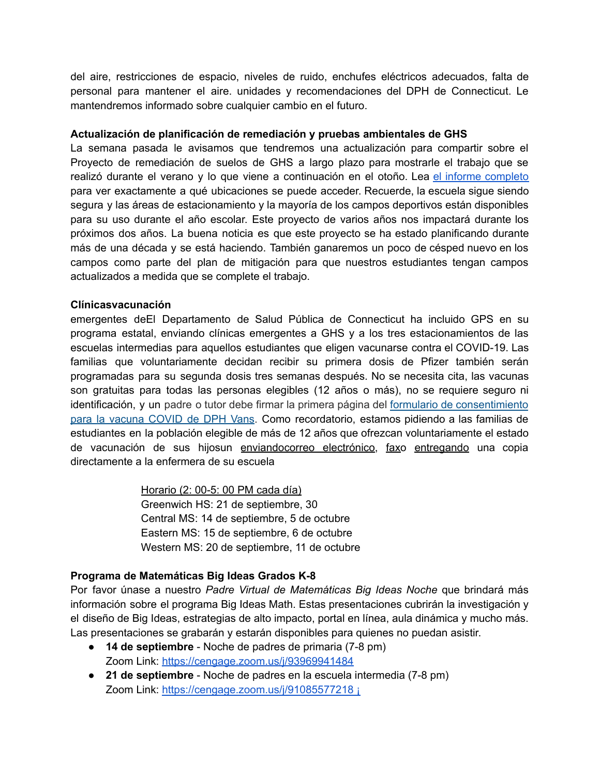del aire, restricciones de espacio, niveles de ruido, enchufes eléctricos adecuados, falta de personal para mantener el aire. unidades y recomendaciones del DPH de Connecticut. Le mantendremos informado sobre cualquier cambio en el futuro.

## **Actualización de planificación de remediación y pruebas ambientales de GHS**

La semana pasada le avisamos que tendremos una actualización para compartir sobre el Proyecto de remediación de suelos de GHS a largo plazo para mostrarle el trabajo que se realizó durante el verano y lo que viene a continuación en el otoño. Lea el informe [completo](https://resources.finalsite.net/images/v1631020969/greenwich/dfqohjsmqgdph6qwqdmm/GHSPublicUpdateSeptember202109-03-21.pdf) para ver exactamente a qué ubicaciones se puede acceder. Recuerde, la escuela sigue siendo segura y las áreas de estacionamiento y la mayoría de los campos deportivos están disponibles para su uso durante el año escolar. Este proyecto de varios años nos impactará durante los próximos dos años. La buena noticia es que este proyecto se ha estado planificando durante más de una década y se está haciendo. También ganaremos un poco de césped nuevo en los campos como parte del plan de mitigación para que nuestros estudiantes tengan campos actualizados a medida que se complete el trabajo.

## **Clínicasvacunación**

emergentes deEl Departamento de Salud Pública de Connecticut ha incluido GPS en su programa estatal, enviando clínicas emergentes a GHS y a los tres estacionamientos de las escuelas intermedias para aquellos estudiantes que eligen vacunarse contra el COVID-19. Las familias que voluntariamente decidan recibir su primera dosis de Pfizer también serán programadas para su segunda dosis tres semanas después. No se necesita cita, las vacunas son gratuitas para todas las personas elegibles (12 años o más), no se requiere seguro ni identificación, y un padre o tutor debe firmar la primera página del formulario de [consentimiento](https://portal.ct.gov/vaccine-portal/-/media/Coronavirus/DPH-Vans/COVID-vaccine-intake-form-ALL.docx) para la [vacuna](https://portal.ct.gov/vaccine-portal/-/media/Coronavirus/DPH-Vans/COVID-vaccine-intake-form-ALL.docx) COVID de DPH Vans. Como recordatorio, estamos pidiendo a las familias de estudiantes en la población elegible de más de 12 años que ofrezcan voluntariamente el estado de vacunación de sus hijosun enviandocorreo electrónico, faxo entregando una copia directamente a la enfermera de su escuela

> Horario (2: 00-5: 00 PM cada día) Greenwich HS: 21 de septiembre, 30 Central MS: 14 de septiembre, 5 de octubre Eastern MS: 15 de septiembre, 6 de octubre Western MS: 20 de septiembre, 11 de octubre

# **Programa de Matemáticas Big Ideas Grados K-8**

Por favor únase a nuestro *Padre Virtual de Matemáticas Big Ideas Noche* que brindará más información sobre el programa Big Ideas Math. Estas presentaciones cubrirán la investigación y el diseño de Big Ideas, estrategias de alto impacto, portal en línea, aula dinámica y mucho más. Las presentaciones se grabarán y estarán disponibles para quienes no puedan asistir.

- **14 de septiembre** Noche de padres de primaria (7-8 pm) Zoom Link: <https://cengage.zoom.us/j/93969941484>
- **21 de septiembre** Noche de padres en la escuela intermedia (7-8 pm) Zoom Link: <https://cengage.zoom.us/j/91085577218> i